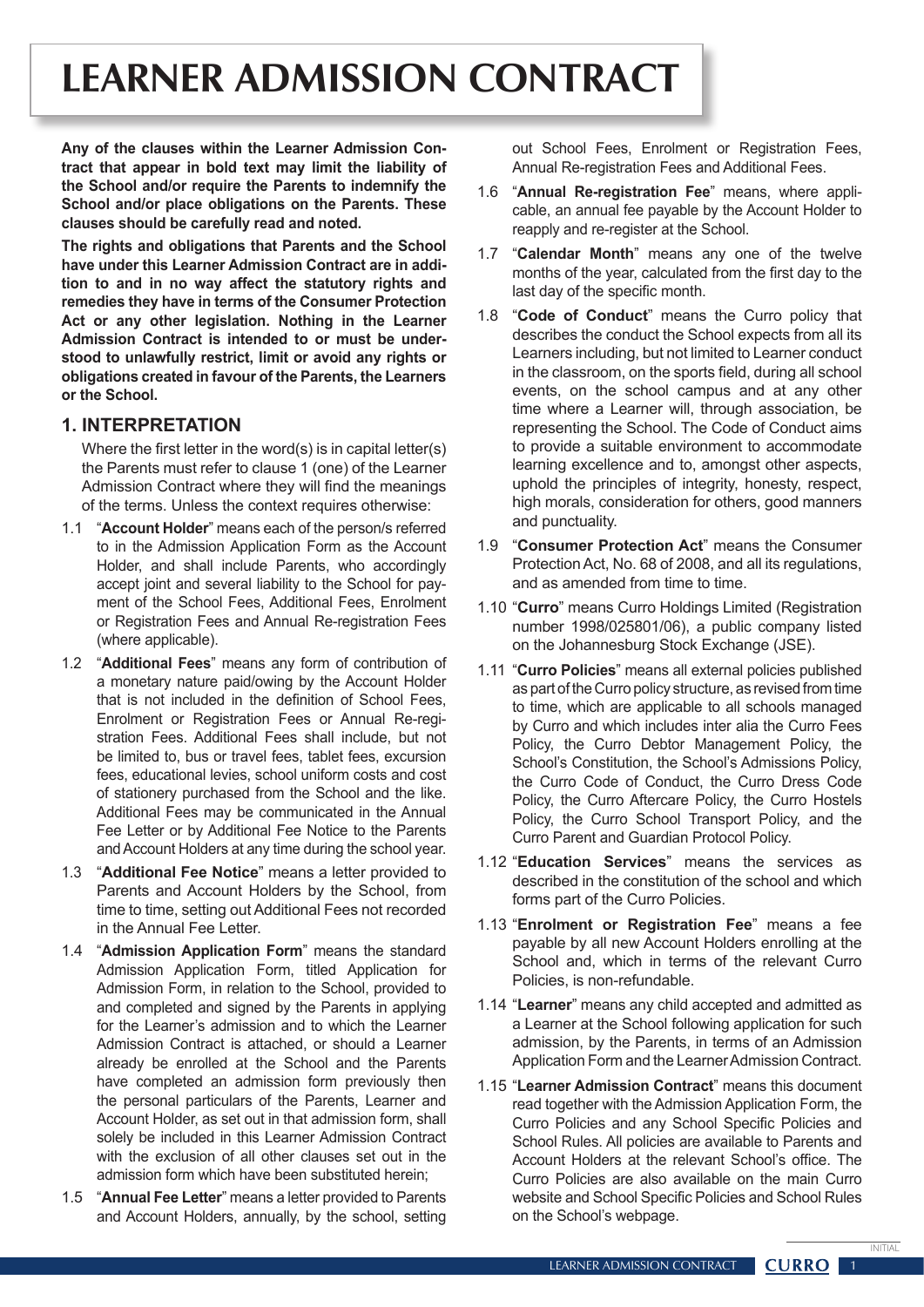# **LEARNER ADMISSION CONTRACT**

**Any of the clauses within the Learner Admission Contract that appear in bold text may limit the liability of the School and/or require the Parents to indemnify the School and/or place obligations on the Parents. These clauses should be carefully read and noted.** 

**The rights and obligations that Parents and the School have under this Learner Admission Contract are in addition to and in no way affect the statutory rights and remedies they have in terms of the Consumer Protection Act or any other legislation. Nothing in the Learner Admission Contract is intended to or must be understood to unlawfully restrict, limit or avoid any rights or obligations created in favour of the Parents, the Learners or the School.**

#### **1. INTERPRETATION**

 Where the first letter in the word(s) is in capital letter(s) the Parents must refer to clause 1 (one) of the Learner Admission Contract where they will find the meanings of the terms. Unless the context requires otherwise:

- 1.1 "**Account Holder**" means each of the person/s referred to in the Admission Application Form as the Account Holder, and shall include Parents, who accordingly accept joint and several liability to the School for payment of the School Fees, Additional Fees, Enrolment or Registration Fees and Annual Re-registration Fees (where applicable).
- 1.2 "**Additional Fees**" means any form of contribution of a monetary nature paid/owing by the Account Holder that is not included in the definition of School Fees, Enrolment or Registration Fees or Annual Re-registration Fees. Additional Fees shall include, but not be limited to, bus or travel fees, tablet fees, excursion fees, educational levies, school uniform costs and cost of stationery purchased from the School and the like. Additional Fees may be communicated in the Annual Fee Letter or by Additional Fee Notice to the Parents and Account Holders at any time during the school year.
- 1.3 "**Additional Fee Notice**" means a letter provided to Parents and Account Holders by the School, from time to time, setting out Additional Fees not recorded in the Annual Fee Letter.
- 1.4 "**Admission Application Form**" means the standard Admission Application Form, titled Application for Admission Form, in relation to the School, provided to and completed and signed by the Parents in applying for the Learner's admission and to which the Learner Admission Contract is attached, or should a Learner already be enrolled at the School and the Parents have completed an admission form previously then the personal particulars of the Parents, Learner and Account Holder, as set out in that admission form, shall solely be included in this Learner Admission Contract with the exclusion of all other clauses set out in the admission form which have been substituted herein;
- 1.5 "**Annual Fee Letter**" means a letter provided to Parents and Account Holders, annually, by the school, setting

out School Fees, Enrolment or Registration Fees, Annual Re-registration Fees and Additional Fees.

- 1.6 "**Annual Re-registration Fee**" means, where applicable, an annual fee payable by the Account Holder to reapply and re-register at the School.
- 1.7 "**Calendar Month**" means any one of the twelve months of the year, calculated from the first day to the last day of the specific month.
- 1.8 "**Code of Conduct**" means the Curro policy that describes the conduct the School expects from all its Learners including, but not limited to Learner conduct in the classroom, on the sports field, during all school events, on the school campus and at any other time where a Learner will, through association, be representing the School. The Code of Conduct aims to provide a suitable environment to accommodate learning excellence and to, amongst other aspects, uphold the principles of integrity, honesty, respect, high morals, consideration for others, good manners and punctuality.
- 1.9 "**Consumer Protection Act**" means the Consumer ProtectionAct, No. 68 of 2008, and all its regulations, and as amended from time to time.
- 1.10 "**Curro**" means Curro Holdings Limited (Registration number 1998/025801/06), a public company listed on the Johannesburg Stock Exchange (JSE).
- 1.11 "**Curro Policies**" means all external policies published as part of the Curro policy structure, as revised from time to time, which are applicable to all schools managed by Curro and which includes inter alia the Curro Fees Policy, the Curro Debtor Management Policy, the School's Constitution, the School's Admissions Policy, the Curro Code of Conduct, the Curro Dress Code Policy, the Curro Aftercare Policy, the Curro Hostels Policy, the Curro School Transport Policy, and the Curro Parent and Guardian Protocol Policy.
- 1.12 "**Education Services**" means the services as described in the constitution of the school and which forms part of the Curro Policies.
- 1.13 "**Enrolment or Registration Fee**" means a fee payable by all new Account Holders enrolling at the School and, which in terms of the relevant Curro Policies, is non-refundable.
- 1.14 "**Learner**" means any child accepted and admitted as a Learner at the School following application for such admission, by the Parents, in terms of an Admission Application Form and the Learner Admission Contract.
- 1.15 "**Learner Admission Contract**" means this document read together with the Admission Application Form, the Curro Policies and any School Specific Policies and School Rules. All policies are available to Parents and Account Holders at the relevant School's office. The Curro Policies are also available on the main Curro website and School Specific Policies and School Rules on the School's webpage.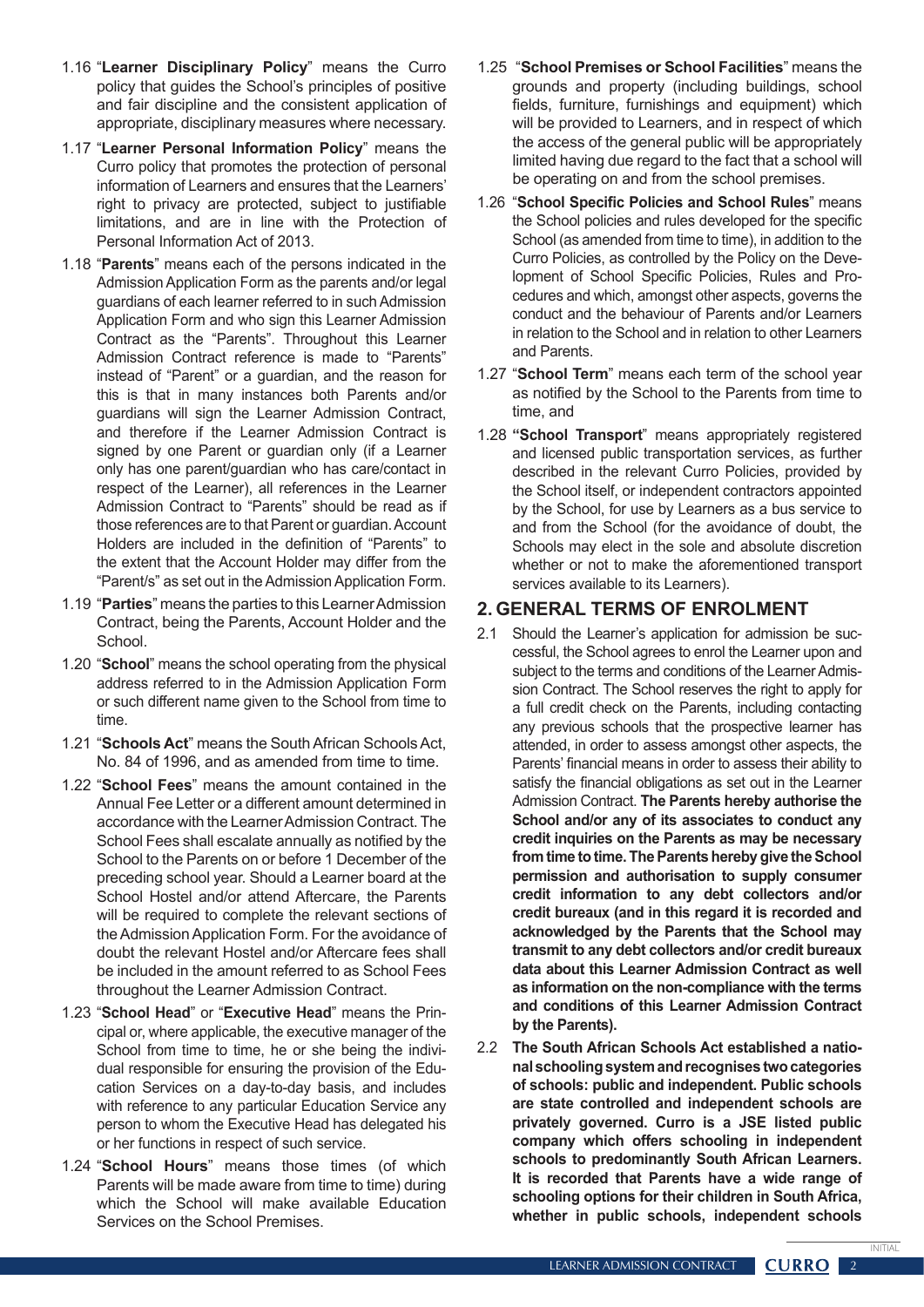- 1.16 "**Learner Disciplinary Policy**" means the Curro policy that guides the School's principles of positive and fair discipline and the consistent application of appropriate, disciplinary measures where necessary.
- 1.17 "**Learner Personal Information Policy**" means the Curro policy that promotes the protection of personal information of Learners and ensures that the Learners' right to privacy are protected, subject to justifiable limitations, and are in line with the Protection of Personal Information Act of 2013.
- 1.18 "**Parents**" means each of the persons indicated in the Admission Application Form as the parents and/or legal guardians of each learner referred to in such Admission Application Form and who sign this Learner Admission Contract as the "Parents". Throughout this Learner Admission Contract reference is made to "Parents" instead of "Parent" or a guardian, and the reason for this is that in many instances both Parents and/or guardians will sign the Learner Admission Contract, and therefore if the Learner Admission Contract is signed by one Parent or guardian only (if a Learner only has one parent/guardian who has care/contact in respect of the Learner), all references in the Learner Admission Contract to "Parents" should be read as if those references are to that Parent or quardian. Account Holders are included in the definition of "Parents" to the extent that the Account Holder may differ from the "Parent/s" as set out in the Admission Application Form.
- 1.19 "**Parties**" means the parties to this LearnerAdmission Contract, being the Parents, Account Holder and the School.
- 1.20 "**School**" means the school operating from the physical address referred to in the Admission Application Form or such different name given to the School from time to time.
- 1.21 "**Schools Act**" means the South African Schools Act, No. 84 of 1996, and as amended from time to time.
- 1.22 "**School Fees**" means the amount contained in the Annual Fee Letter or a different amount determined in accordance with the Learner Admission Contract. The School Fees shall escalate annually as notified by the School to the Parents on or before 1 December of the preceding school year. Should a Learner board at the School Hostel and/or attend Aftercare, the Parents will be required to complete the relevant sections of the Admission Application Form. For the avoidance of doubt the relevant Hostel and/or Aftercare fees shall be included in the amount referred to as School Fees throughout the Learner Admission Contract.
- 1.23 "**School Head**" or "**Executive Head**" means the Principal or, where applicable, the executive manager of the School from time to time, he or she being the individual responsible for ensuring the provision of the Education Services on a day-to-day basis, and includes with reference to any particular Education Service any person to whom the Executive Head has delegated his or her functions in respect of such service.
- 1.24 "**School Hours**" means those times (of which Parents will be made aware from time to time) during which the School will make available Education Services on the School Premises.
- 1.25 "**School Premises or School Facilities**" means the grounds and property (including buildings, school fields, furniture, furnishings and equipment) which will be provided to Learners, and in respect of which the access of the general public will be appropriately limited having due regard to the fact that a school will be operating on and from the school premises.
- 1.26 "**School Specific Policies and School Rules**" means the School policies and rules developed for the specific School (as amended from time to time), in addition to the Curro Policies, as controlled by the Policy on the Development of School Specific Policies, Rules and Procedures and which, amongst other aspects, governs the conduct and the behaviour of Parents and/or Learners in relation to the School and in relation to other Learners and Parents.
- 1.27 "**School Term**" means each term of the school year as notified by the School to the Parents from time to time, and
- 1.28 **"School Transport**" means appropriately registered and licensed public transportation services, as further described in the relevant Curro Policies, provided by the School itself, or independent contractors appointed by the School, for use by Learners as a bus service to and from the School (for the avoidance of doubt, the Schools may elect in the sole and absolute discretion whether or not to make the aforementioned transport services available to its Learners).

#### **2. GENERAL TERMS OF ENROLMENT**

- 2.1 Should the Learner's application for admission be successful, the School agrees to enrol the Learner upon and subject to the terms and conditions of the Learner Admission Contract. The School reserves the right to apply for a full credit check on the Parents, including contacting any previous schools that the prospective learner has attended, in order to assess amongst other aspects, the Parents' financial means in order to assess their ability to satisfy the financial obligations as set out in the Learner Admission Contract. **The Parents hereby authorise the School and/or any of its associates to conduct any credit inquiries on the Parents as may be necessary from time to time. The Parents hereby give the School permission and authorisation to supply consumer credit information to any debt collectors and/or credit bureaux (and in this regard it is recorded and acknowledged by the Parents that the School may transmit to any debt collectors and/or credit bureaux data about this Learner Admission Contract as well as information on the non-compliance with the terms and conditions of this Learner Admission Contract by the Parents).**
- 2.2 **The South African Schools Act established a national schooling system and recognises two categories of schools: public and independent. Public schools are state controlled and independent schools are privately governed. Curro is a JSE listed public company which offers schooling in independent schools to predominantly South African Learners. It is recorded that Parents have a wide range of schooling options for their children in South Africa, whether in public schools, independent schools**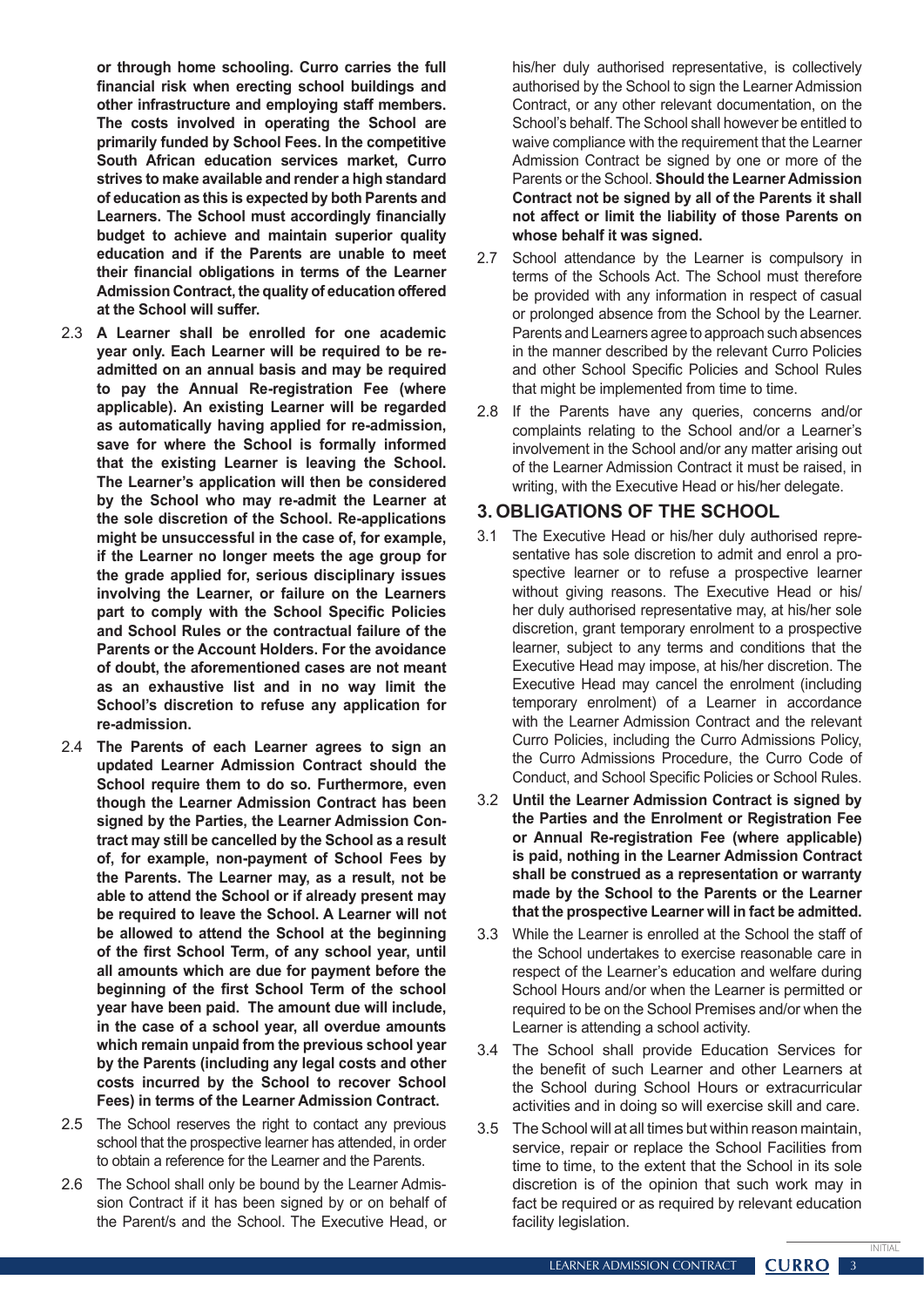**or through home schooling. Curro carries the full financial risk when erecting school buildings and other infrastructure and employing staff members. The costs involved in operating the School are primarily funded by School Fees. In the competitive South African education services market, Curro strives to make available and render a high standard of education as this is expected by both Parents and Learners. The School must accordingly financially budget to achieve and maintain superior quality education and if the Parents are unable to meet their financial obligations in terms of the Learner Admission Contract, the quality of education offered at the School will suffer.** 

- 2.3 **A Learner shall be enrolled for one academic year only. Each Learner will be required to be readmitted on an annual basis and may be required to pay the Annual Re-registration Fee (where applicable). An existing Learner will be regarded as automatically having applied for re-admission, save for where the School is formally informed that the existing Learner is leaving the School. The Learner's application will then be considered by the School who may re-admit the Learner at the sole discretion of the School. Re-applications might be unsuccessful in the case of, for example, if the Learner no longer meets the age group for the grade applied for, serious disciplinary issues involving the Learner, or failure on the Learners part to comply with the School Specific Policies and School Rules or the contractual failure of the Parents or the Account Holders. For the avoidance of doubt, the aforementioned cases are not meant as an exhaustive list and in no way limit the School's discretion to refuse any application for re-admission.**
- 2.4 **The Parents of each Learner agrees to sign an updated Learner Admission Contract should the School require them to do so. Furthermore, even though the Learner Admission Contract has been signed by the Parties, the Learner Admission Contract may still be cancelled by the School as a result of, for example, non-payment of School Fees by the Parents. The Learner may, as a result, not be able to attend the School or if already present may be required to leave the School. A Learner will not be allowed to attend the School at the beginning of the first School Term, of any school year, until all amounts which are due for payment before the beginning of the first School Term of the school year have been paid. The amount due will include, in the case of a school year, all overdue amounts which remain unpaid from the previous school year by the Parents (including any legal costs and other costs incurred by the School to recover School Fees) in terms of the Learner Admission Contract.**
- 2.5 The School reserves the right to contact any previous school that the prospective learner has attended, in order to obtain a reference for the Learner and the Parents.
- 2.6 The School shall only be bound by the Learner Admission Contract if it has been signed by or on behalf of the Parent/s and the School. The Executive Head, or

his/her duly authorised representative, is collectively authorised by the School to sign the Learner Admission Contract, or any other relevant documentation, on the School's behalf. The School shall however be entitled to waive compliance with the requirement that the Learner Admission Contract be signed by one or more of the Parents or the School. **Should the Learner Admission Contract not be signed by all of the Parents it shall not affect or limit the liability of those Parents on whose behalf it was signed.**

- 2.7 School attendance by the Learner is compulsory in terms of the Schools Act. The School must therefore be provided with any information in respect of casual or prolonged absence from the School by the Learner. Parents and Learners agree to approach such absences in the manner described by the relevant Curro Policies and other School Specific Policies and School Rules that might be implemented from time to time.
- 2.8 If the Parents have any queries, concerns and/or complaints relating to the School and/or a Learner's involvement in the School and/or any matter arising out of the Learner Admission Contract it must be raised, in writing, with the Executive Head or his/her delegate.

#### **3. OBLIGATIONS OF THE SCHOOL**

- 3.1 The Executive Head or his/her duly authorised representative has sole discretion to admit and enrol a prospective learner or to refuse a prospective learner without giving reasons. The Executive Head or his/ her duly authorised representative may, at his/her sole discretion, grant temporary enrolment to a prospective learner, subject to any terms and conditions that the Executive Head may impose, at his/her discretion. The Executive Head may cancel the enrolment (including temporary enrolment) of a Learner in accordance with the Learner Admission Contract and the relevant Curro Policies, including the Curro Admissions Policy, the Curro Admissions Procedure, the Curro Code of Conduct, and School Specific Policies or School Rules.
- 3.2 **Until the Learner Admission Contract is signed by the Parties and the Enrolment or Registration Fee or Annual Re-registration Fee (where applicable) is paid, nothing in the Learner Admission Contract shall be construed as a representation or warranty made by the School to the Parents or the Learner that the prospective Learner will in fact be admitted.**
- 3.3 While the Learner is enrolled at the School the staff of the School undertakes to exercise reasonable care in respect of the Learner's education and welfare during School Hours and/or when the Learner is permitted or required to be on the School Premises and/or when the Learner is attending a school activity.
- 3.4 The School shall provide Education Services for the benefit of such Learner and other Learners at the School during School Hours or extracurricular activities and in doing so will exercise skill and care.
- 3.5 The School will at all times but within reason maintain, service, repair or replace the School Facilities from time to time, to the extent that the School in its sole discretion is of the opinion that such work may in fact be required or as required by relevant education facility legislation.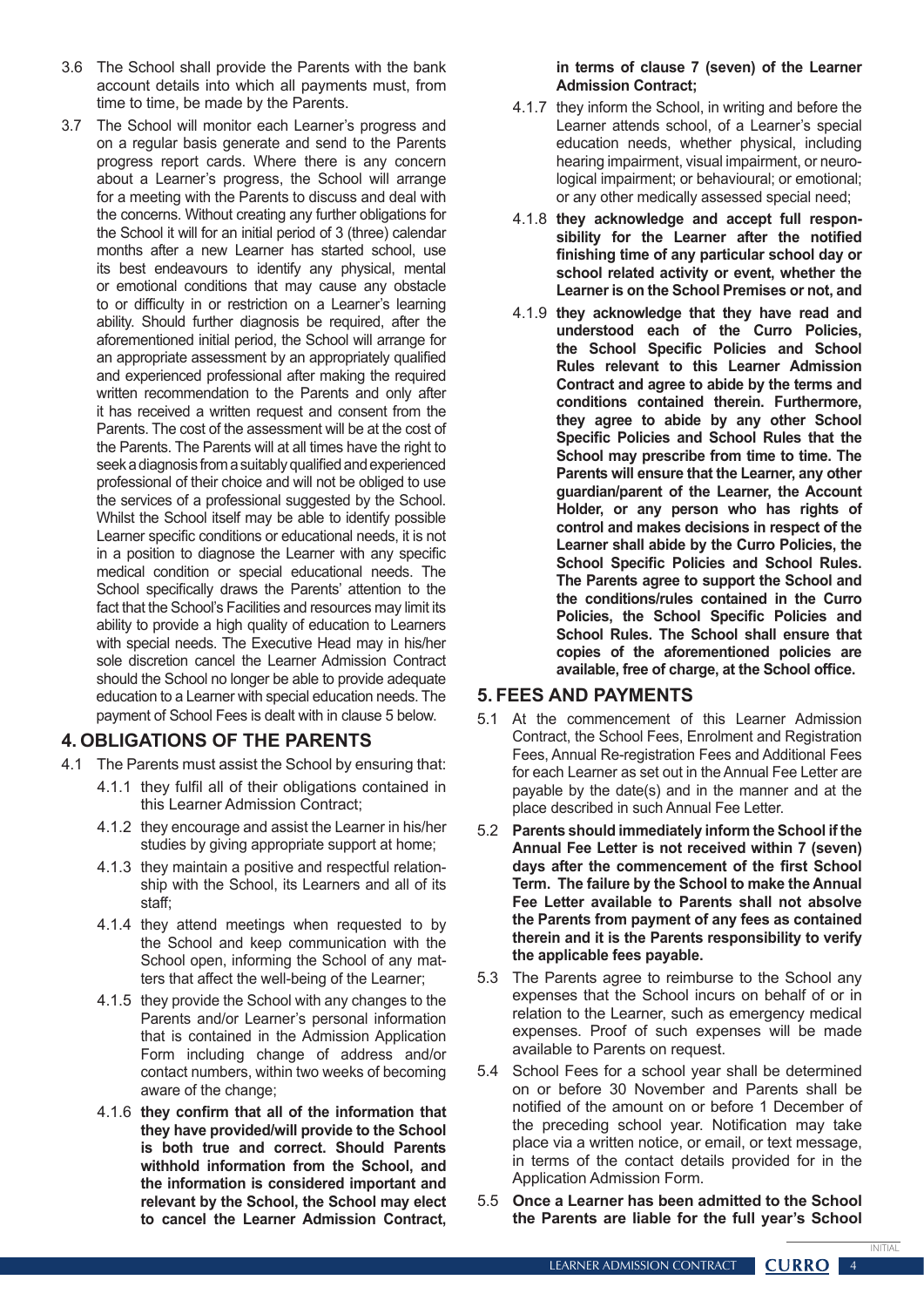- 3.6 The School shall provide the Parents with the bank account details into which all payments must, from time to time, be made by the Parents.
- 3.7 The School will monitor each Learner's progress and on a regular basis generate and send to the Parents progress report cards. Where there is any concern about a Learner's progress, the School will arrange for a meeting with the Parents to discuss and deal with the concerns. Without creating any further obligations for the School it will for an initial period of 3 (three) calendar months after a new Learner has started school, use its best endeavours to identify any physical, mental or emotional conditions that may cause any obstacle to or difficulty in or restriction on a Learner's learning ability. Should further diagnosis be required, after the aforementioned initial period, the School will arrange for an appropriate assessment by an appropriately qualified and experienced professional after making the required written recommendation to the Parents and only after it has received a written request and consent from the Parents. The cost of the assessment will be at the cost of the Parents. The Parents will at all times have the right to seek a diagnosis from a suitably qualified and experienced professional of their choice and will not be obliged to use the services of a professional suggested by the School. Whilst the School itself may be able to identify possible Learner specific conditions or educational needs, it is not in a position to diagnose the Learner with any specific medical condition or special educational needs. The School specifically draws the Parents' attention to the fact that the School's Facilities and resources may limit its ability to provide a high quality of education to Learners with special needs. The Executive Head may in his/her sole discretion cancel the Learner Admission Contract should the School no longer be able to provide adequate education to a Learner with special education needs. The payment of School Fees is dealt with in clause 5 below.

## **4. OBLIGATIONS OF THE PARENTS**

- 4.1 The Parents must assist the School by ensuring that:
	- 4.1.1 they fulfil all of their obligations contained in this Learner Admission Contract;
	- 4.1.2 they encourage and assist the Learner in his/her studies by giving appropriate support at home;
	- 4.1.3 they maintain a positive and respectful relationship with the School, its Learners and all of its staff;
	- 4.1.4 they attend meetings when requested to by the School and keep communication with the School open, informing the School of any matters that affect the well-being of the Learner;
	- 4.1.5 they provide the School with any changes to the Parents and/or Learner's personal information that is contained in the Admission Application Form including change of address and/or contact numbers, within two weeks of becoming aware of the change;
	- 4.1.6 **they confirm that all of the information that they have provided/will provide to the School is both true and correct. Should Parents withhold information from the School, and the information is considered important and relevant by the School, the School may elect to cancel the Learner Admission Contract,**

#### **in terms of clause 7 (seven) of the Learner Admission Contract;**

- 4.1.7 they inform the School, in writing and before the Learner attends school, of a Learner's special education needs, whether physical, including hearing impairment, visual impairment, or neurological impairment; or behavioural; or emotional; or any other medically assessed special need;
- 4.1.8 **they acknowledge and accept full responsibility for the Learner after the notified finishing time of any particular school day or school related activity or event, whether the Learner is on the School Premises or not, and**
- 4.1.9 **they acknowledge that they have read and understood each of the Curro Policies, the School Specific Policies and School Rules relevant to this Learner Admission Contract and agree to abide by the terms and conditions contained therein. Furthermore, they agree to abide by any other School Specific Policies and School Rules that the School may prescribe from time to time. The Parents will ensure that the Learner, any other guardian/parent of the Learner, the Account Holder, or any person who has rights of control and makes decisions in respect of the Learner shall abide by the Curro Policies, the School Specific Policies and School Rules. The Parents agree to support the School and the conditions/rules contained in the Curro Policies, the School Specific Policies and School Rules. The School shall ensure that copies of the aforementioned policies are available, free of charge, at the School office.**

#### **5. FEES AND PAYMENTS**

- 5.1 At the commencement of this Learner Admission Contract, the School Fees, Enrolment and Registration Fees, Annual Re-registration Fees and Additional Fees for each Learner as set out in the Annual Fee Letter are payable by the date(s) and in the manner and at the place described in such Annual Fee Letter.
- 5.2 **Parents should immediately inform the School if the Annual Fee Letter is not received within 7 (seven) days after the commencement of the first School Term. The failure by the School to make the Annual Fee Letter available to Parents shall not absolve the Parents from payment of any fees as contained therein and it is the Parents responsibility to verify the applicable fees payable.**
- 5.3 The Parents agree to reimburse to the School any expenses that the School incurs on behalf of or in relation to the Learner, such as emergency medical expenses. Proof of such expenses will be made available to Parents on request.
- 5.4 School Fees for a school year shall be determined on or before 30 November and Parents shall be notified of the amount on or before 1 December of the preceding school year. Notification may take place via a written notice, or email, or text message, in terms of the contact details provided for in the Application Admission Form.
- 5.5 **Once a Learner has been admitted to the School the Parents are liable for the full year's School**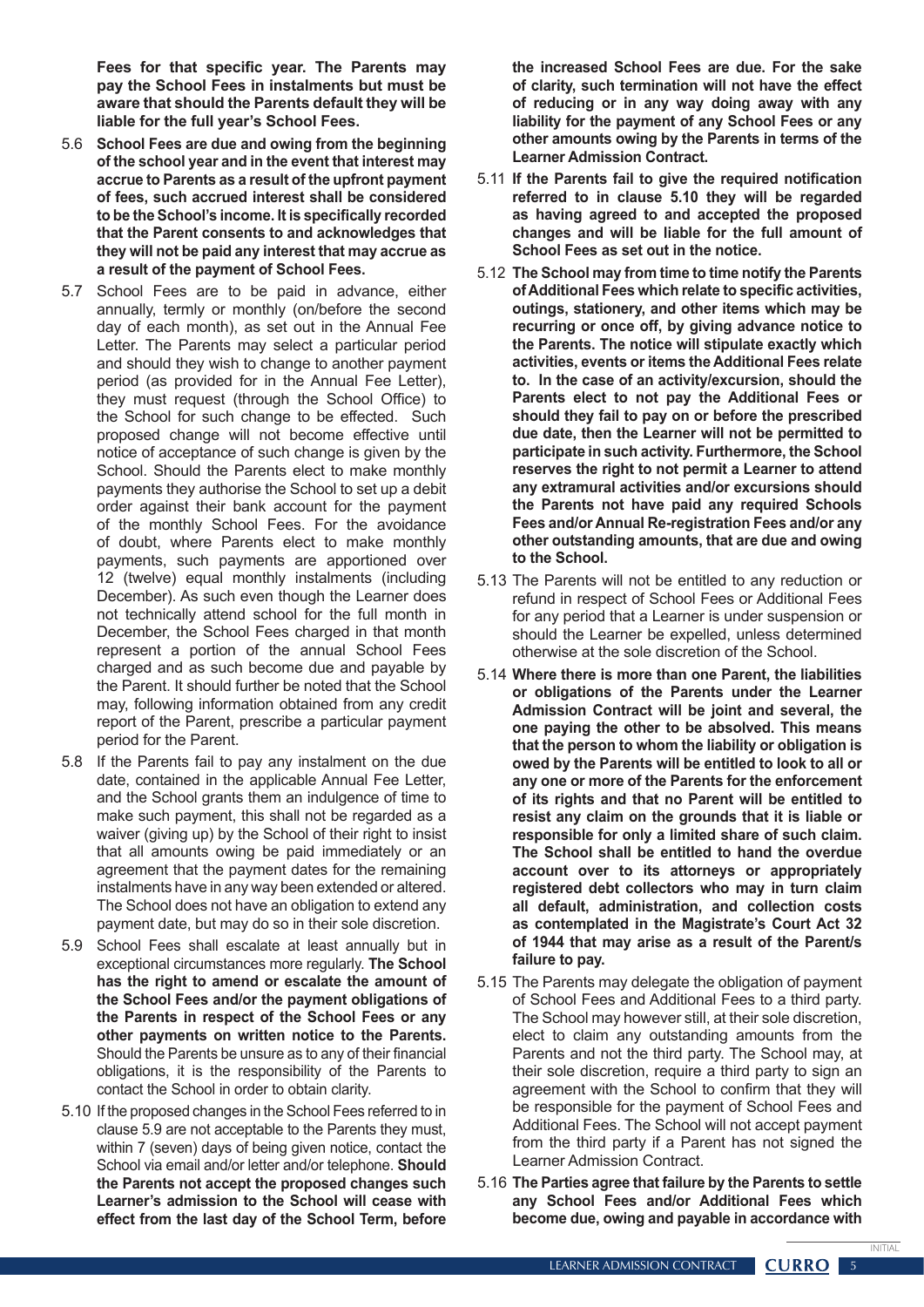**Fees for that specific year. The Parents may pay the School Fees in instalments but must be aware that should the Parents default they will be liable for the full year's School Fees.**

- 5.6 **School Fees are due and owing from the beginning of the school year and in the event that interest may accrue to Parents as a result of the upfront payment of fees, such accrued interest shall be considered to be the School's income. It is specifically recorded that the Parent consents to and acknowledges that they will not be paid any interest that may accrue as a result of the payment of School Fees.**
- 5.7 School Fees are to be paid in advance, either annually, termly or monthly (on/before the second day of each month), as set out in the Annual Fee Letter. The Parents may select a particular period and should they wish to change to another payment period (as provided for in the Annual Fee Letter), they must request (through the School Office) to the School for such change to be effected. Such proposed change will not become effective until notice of acceptance of such change is given by the School. Should the Parents elect to make monthly payments they authorise the School to set up a debit order against their bank account for the payment of the monthly School Fees. For the avoidance of doubt, where Parents elect to make monthly payments, such payments are apportioned over 12 (twelve) equal monthly instalments (including December). As such even though the Learner does not technically attend school for the full month in December, the School Fees charged in that month represent a portion of the annual School Fees charged and as such become due and payable by the Parent. It should further be noted that the School may, following information obtained from any credit report of the Parent, prescribe a particular payment period for the Parent.
- 5.8 If the Parents fail to pay any instalment on the due date, contained in the applicable Annual Fee Letter, and the School grants them an indulgence of time to make such payment, this shall not be regarded as a waiver (giving up) by the School of their right to insist that all amounts owing be paid immediately or an agreement that the payment dates for the remaining instalments have in any way been extended or altered. The School does not have an obligation to extend any payment date, but may do so in their sole discretion.
- 5.9 School Fees shall escalate at least annually but in exceptional circumstances more regularly. **The School has the right to amend or escalate the amount of the School Fees and/or the payment obligations of the Parents in respect of the School Fees or any other payments on written notice to the Parents.** Should the Parents be unsure as to any of their financial obligations, it is the responsibility of the Parents to contact the School in order to obtain clarity.
- 5.10 If the proposed changes in the School Fees referred to in clause 5.9 are not acceptable to the Parents they must, within 7 (seven) days of being given notice, contact the School via email and/or letter and/or telephone. **Should the Parents not accept the proposed changes such Learner's admission to the School will cease with effect from the last day of the School Term, before**

**the increased School Fees are due. For the sake of clarity, such termination will not have the effect of reducing or in any way doing away with any liability for the payment of any School Fees or any other amounts owing by the Parents in terms of the Learner Admission Contract.**

- 5.11 **If the Parents fail to give the required notification referred to in clause 5.10 they will be regarded as having agreed to and accepted the proposed changes and will be liable for the full amount of School Fees as set out in the notice.**
- 5.12 **The School may from time to time notify the Parents of Additional Fees which relate to specific activities, outings, stationery, and other items which may be recurring or once off, by giving advance notice to the Parents. The notice will stipulate exactly which activities, events or items the Additional Fees relate to. In the case of an activity/excursion, should the Parents elect to not pay the Additional Fees or should they fail to pay on or before the prescribed due date, then the Learner will not be permitted to participate in such activity. Furthermore, the School reserves the right to not permit a Learner to attend any extramural activities and/or excursions should the Parents not have paid any required Schools Fees and/or Annual Re-registration Fees and/or any other outstanding amounts, that are due and owing to the School.**
- 5.13 The Parents will not be entitled to any reduction or refund in respect of School Fees or Additional Fees for any period that a Learner is under suspension or should the Learner be expelled, unless determined otherwise at the sole discretion of the School.
- 5.14 **Where there is more than one Parent, the liabilities or obligations of the Parents under the Learner Admission Contract will be joint and several, the one paying the other to be absolved. This means that the person to whom the liability or obligation is owed by the Parents will be entitled to look to all or any one or more of the Parents for the enforcement of its rights and that no Parent will be entitled to resist any claim on the grounds that it is liable or responsible for only a limited share of such claim. The School shall be entitled to hand the overdue account over to its attorneys or appropriately registered debt collectors who may in turn claim all default, administration, and collection costs as contemplated in the Magistrate's Court Act 32 of 1944 that may arise as a result of the Parent/s failure to pay.**
- 5.15 The Parents may delegate the obligation of payment of School Fees and Additional Fees to a third party. The School may however still, at their sole discretion, elect to claim any outstanding amounts from the Parents and not the third party. The School may, at their sole discretion, require a third party to sign an agreement with the School to confirm that they will be responsible for the payment of School Fees and Additional Fees. The School will not accept payment from the third party if a Parent has not signed the Learner Admission Contract.
- 5.16 **The Parties agree that failure by the Parents to settle any School Fees and/or Additional Fees which become due, owing and payable in accordance with**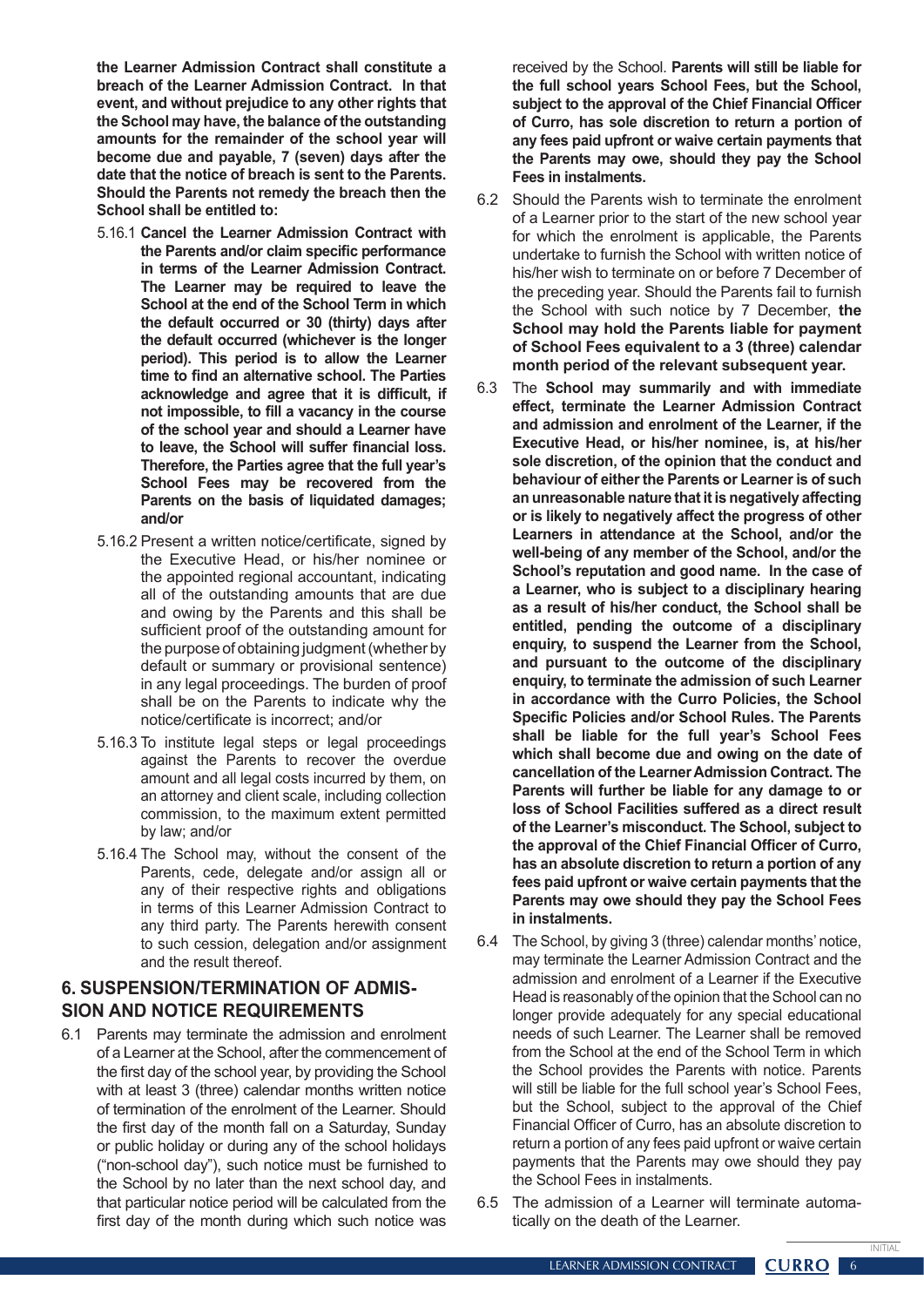**the Learner Admission Contract shall constitute a breach of the Learner Admission Contract. In that event, and without prejudice to any other rights that the School may have, the balance of the outstanding amounts for the remainder of the school year will become due and payable, 7 (seven) days after the date that the notice of breach is sent to the Parents. Should the Parents not remedy the breach then the School shall be entitled to:**

- 5.16.1 **Cancel the Learner Admission Contract with the Parents and/or claim specific performance in terms of the Learner Admission Contract. The Learner may be required to leave the School at the end of the School Term in which the default occurred or 30 (thirty) days after the default occurred (whichever is the longer period). This period is to allow the Learner time to find an alternative school. The Parties acknowledge and agree that it is difficult, if not impossible, to fill a vacancy in the course of the school year and should a Learner have to leave, the School will suffer financial loss. Therefore, the Parties agree that the full year's School Fees may be recovered from the Parents on the basis of liquidated damages; and/or**
- 5.16.2 Present a written notice/certificate, signed by the Executive Head, or his/her nominee or the appointed regional accountant, indicating all of the outstanding amounts that are due and owing by the Parents and this shall be sufficient proof of the outstanding amount for the purpose of obtaining judgment(whether by default or summary or provisional sentence) in any legal proceedings. The burden of proof shall be on the Parents to indicate why the notice/certificate is incorrect; and/or
- 5.16.3 To institute legal steps or legal proceedings against the Parents to recover the overdue amount and all legal costs incurred by them, on an attorney and client scale, including collection commission, to the maximum extent permitted by law; and/or
- 5.16.4 The School may, without the consent of the Parents, cede, delegate and/or assign all or any of their respective rights and obligations in terms of this Learner Admission Contract to any third party. The Parents herewith consent to such cession, delegation and/or assignment and the result thereof.

#### **6. SUSPENSION/TERMINATION OF ADMIS-SION AND NOTICE REQUIREMENTS**

6.1 Parents may terminate the admission and enrolment of a Learner at the School, after the commencement of the first day of the school year, by providing the School with at least 3 (three) calendar months written notice of termination of the enrolment of the Learner. Should the first day of the month fall on a Saturday, Sunday or public holiday or during any of the school holidays ("non-school day"), such notice must be furnished to the School by no later than the next school day, and that particular notice period will be calculated from the first day of the month during which such notice was

received by the School. **Parents will still be liable for the full school years School Fees, but the School, subject to the approval of the Chief Financial Officer of Curro, has sole discretion to return a portion of any fees paid upfront or waive certain payments that the Parents may owe, should they pay the School Fees in instalments.**

- 6.2 Should the Parents wish to terminate the enrolment of a Learner prior to the start of the new school year for which the enrolment is applicable, the Parents undertake to furnish the School with written notice of his/her wish to terminate on or before 7 December of the preceding year. Should the Parents fail to furnish the School with such notice by 7 December, **the School may hold the Parents liable for payment of School Fees equivalent to a 3 (three) calendar month period of the relevant subsequent year.**
- 6.3 The **School may summarily and with immediate effect, terminate the Learner Admission Contract and admission and enrolment of the Learner, if the Executive Head, or his/her nominee, is, at his/her sole discretion, of the opinion that the conduct and behaviour of either the Parents or Learner is of such an unreasonable nature that it is negatively affecting or is likely to negatively affect the progress of other Learners in attendance at the School, and/or the well-being of any member of the School, and/or the School's reputation and good name. In the case of a Learner, who is subject to a disciplinary hearing as a result of his/her conduct, the School shall be entitled, pending the outcome of a disciplinary enquiry, to suspend the Learner from the School, and pursuant to the outcome of the disciplinary enquiry, to terminate the admission of such Learner in accordance with the Curro Policies, the School Specific Policies and/or School Rules. The Parents shall be liable for the full year's School Fees which shall become due and owing on the date of cancellation of the Learner Admission Contract. The Parents will further be liable for any damage to or loss of School Facilities suffered as a direct result of the Learner's misconduct. The School, subject to the approval of the Chief Financial Officer of Curro, has an absolute discretion to return a portion of any fees paid upfront or waive certain payments that the Parents may owe should they pay the School Fees in instalments.**
- 6.4 The School, by giving 3 (three) calendar months' notice, may terminate the Learner Admission Contract and the admission and enrolment of a Learner if the Executive Head is reasonably of the opinion that the School can no longer provide adequately for any special educational needs of such Learner. The Learner shall be removed from the School at the end of the School Term in which the School provides the Parents with notice. Parents will still be liable for the full school year's School Fees, but the School, subject to the approval of the Chief Financial Officer of Curro, has an absolute discretion to return a portion of any fees paid upfront or waive certain payments that the Parents may owe should they pay the School Fees in instalments.
- 6.5 The admission of a Learner will terminate automatically on the death of the Learner.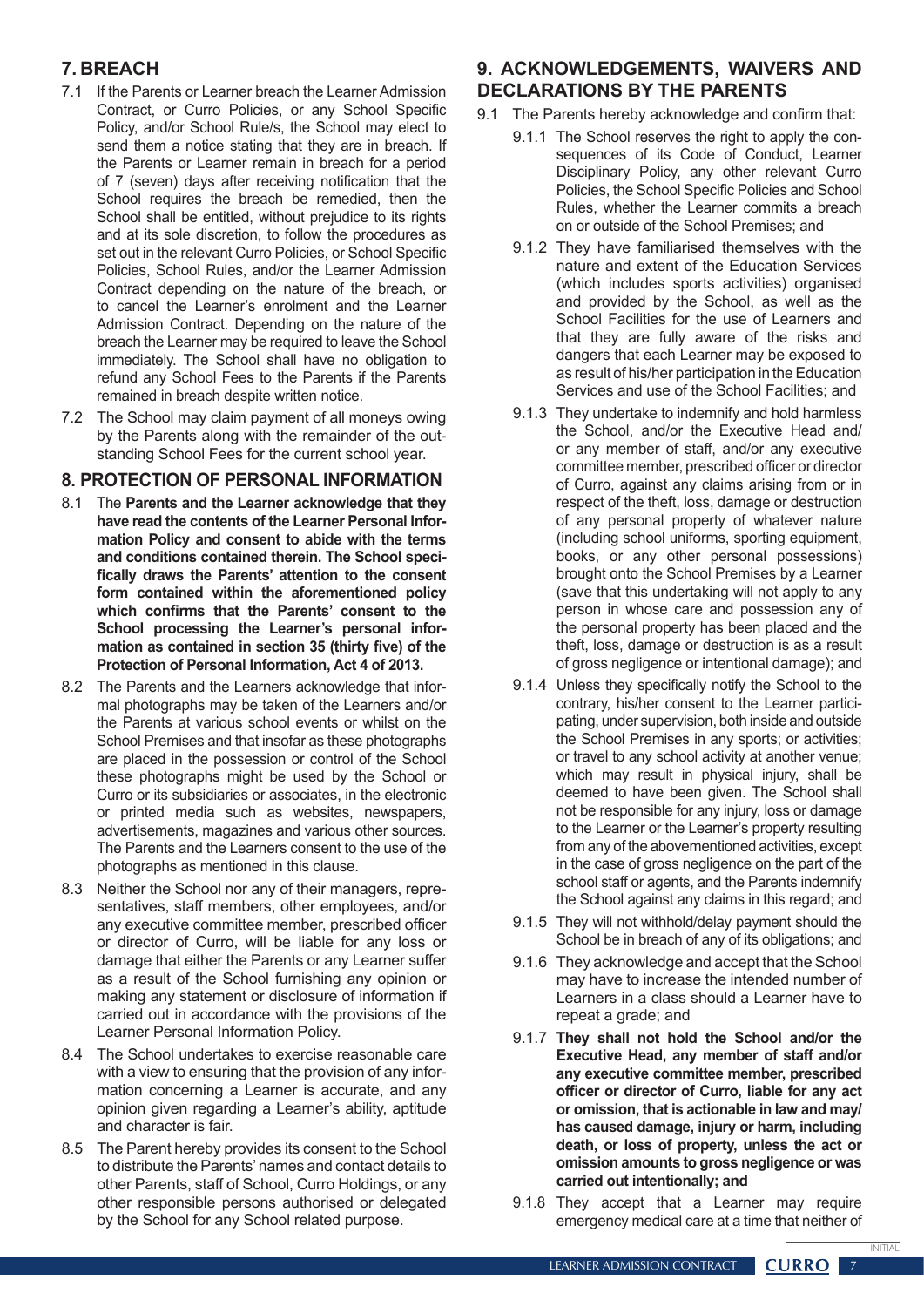# **7. BREACH**

- 7.1 If the Parents or Learner breach the Learner Admission Contract, or Curro Policies, or any School Specific Policy, and/or School Rule/s, the School may elect to send them a notice stating that they are in breach. If the Parents or Learner remain in breach for a period of 7 (seven) days after receiving notification that the School requires the breach be remedied, then the School shall be entitled, without prejudice to its rights and at its sole discretion, to follow the procedures as set out in the relevant Curro Policies, or School Specific Policies, School Rules, and/or the Learner Admission Contract depending on the nature of the breach, or to cancel the Learner's enrolment and the Learner Admission Contract. Depending on the nature of the breach the Learner may be required to leave the School immediately. The School shall have no obligation to refund any School Fees to the Parents if the Parents remained in breach despite written notice.
- 7.2 The School may claim payment of all moneys owing by the Parents along with the remainder of the outstanding School Fees for the current school year.

## **8. PROTECTION OF PERSONAL INFORMATION**

- 8.1 The **Parents and the Learner acknowledge that they have read the contents of the Learner Personal Information Policy and consent to abide with the terms and conditions contained therein. The School specifically draws the Parents' attention to the consent form contained within the aforementioned policy which confirms that the Parents' consent to the School processing the Learner's personal information as contained in section 35 (thirty five) of the Protection of Personal Information, Act 4 of 2013.**
- 8.2 The Parents and the Learners acknowledge that informal photographs may be taken of the Learners and/or the Parents at various school events or whilst on the School Premises and that insofar as these photographs are placed in the possession or control of the School these photographs might be used by the School or Curro or its subsidiaries or associates, in the electronic or printed media such as websites, newspapers, advertisements, magazines and various other sources. The Parents and the Learners consent to the use of the photographs as mentioned in this clause.
- 8.3 Neither the School nor any of their managers, representatives, staff members, other employees, and/or any executive committee member, prescribed officer or director of Curro, will be liable for any loss or damage that either the Parents or any Learner suffer as a result of the School furnishing any opinion or making any statement or disclosure of information if carried out in accordance with the provisions of the Learner Personal Information Policy.
- 8.4 The School undertakes to exercise reasonable care with a view to ensuring that the provision of any information concerning a Learner is accurate, and any opinion given regarding a Learner's ability, aptitude and character is fair.
- 8.5 The Parent hereby provides its consent to the School to distribute the Parents'names and contact details to other Parents, staff of School, Curro Holdings, or any other responsible persons authorised or delegated by the School for any School related purpose.

# **9. ACKNOWLEDGEMENTS, WAIVERS AND DECLARATIONS BY THE PARENTS**

- 9.1 The Parents hereby acknowledge and confirm that:
	- 9.1.1 The School reserves the right to apply the consequences of its Code of Conduct, Learner Disciplinary Policy, any other relevant Curro Policies, the School Specific Policies and School Rules, whether the Learner commits a breach on or outside of the School Premises; and
	- 9.1.2 They have familiarised themselves with the nature and extent of the Education Services (which includes sports activities) organised and provided by the School, as well as the School Facilities for the use of Learners and that they are fully aware of the risks and dangers that each Learner may be exposed to as result of his/her participation in the Education Services and use of the School Facilities; and
	- 9.1.3 They undertake to indemnify and hold harmless the School, and/or the Executive Head and/ or any member of staff, and/or any executive committee member, prescribed officer or director of Curro, against any claims arising from or in respect of the theft, loss, damage or destruction of any personal property of whatever nature (including school uniforms, sporting equipment, books, or any other personal possessions) brought onto the School Premises by a Learner (save that this undertaking will not apply to any person in whose care and possession any of the personal property has been placed and the theft, loss, damage or destruction is as a result of gross negligence or intentional damage); and
	- 9.1.4 Unless they specifically notify the School to the contrary, his/her consent to the Learner participating, under supervision, both inside and outside the School Premises in any sports; or activities; or travel to any school activity at another venue; which may result in physical injury, shall be deemed to have been given. The School shall not be responsible for any injury, loss or damage to the Learner or the Learner's property resulting from any of the abovementioned activities, except in the case of gross negligence on the part of the school staff or agents, and the Parents indemnify the School against any claims in this regard; and
	- 9.1.5 They will not withhold/delay payment should the School be in breach of any of its obligations; and
	- 9.1.6 They acknowledge and accept that the School may have to increase the intended number of Learners in a class should a Learner have to repeat a grade; and
	- 9.1.7 **They shall not hold the School and/or the Executive Head, any member of staff and/or any executive committee member, prescribed officer or director of Curro, liable for any act or omission, that is actionable in law and may/ has caused damage, injury or harm, including death, or loss of property, unless the act or omission amounts to gross negligence or was carried out intentionally; and**
	- 9.1.8 They accept that a Learner may require emergency medical care at a time that neither of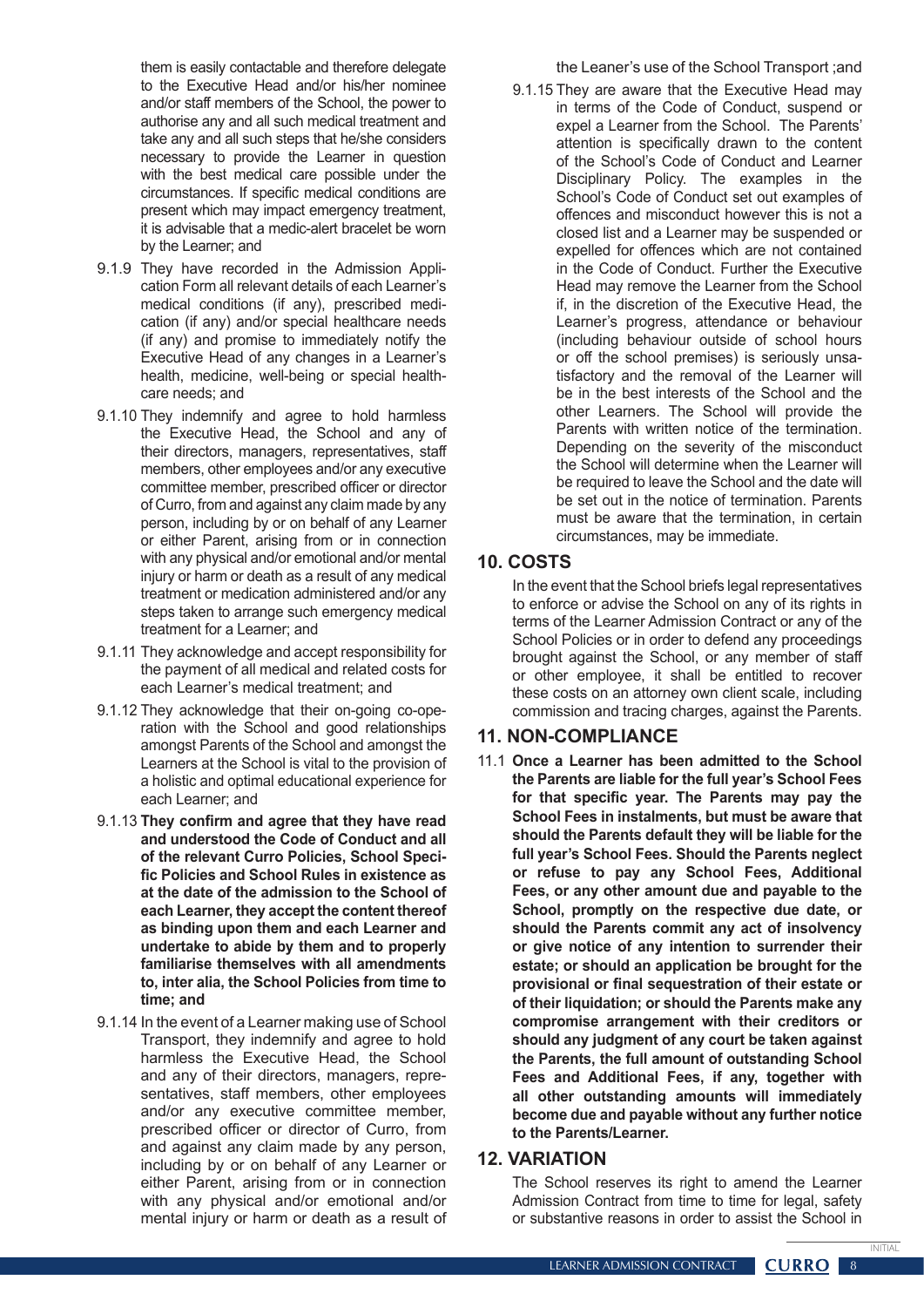them is easily contactable and therefore delegate to the Executive Head and/or his/her nominee and/or staff members of the School, the power to authorise any and all such medical treatment and take any and all such steps that he/she considers necessary to provide the Learner in question with the best medical care possible under the circumstances. If specific medical conditions are present which may impact emergency treatment, it is advisable that a medic-alert bracelet be worn by the Learner; and

- 9.1.9 They have recorded in the Admission Application Form all relevant details of each Learner's medical conditions (if any), prescribed medication (if any) and/or special healthcare needs (if any) and promise to immediately notify the Executive Head of any changes in a Learner's health, medicine, well-being or special healthcare needs; and
- 9.1.10 They indemnify and agree to hold harmless the Executive Head, the School and any of their directors, managers, representatives, staff members, other employees and/or any executive committee member, prescribed officer or director of Curro, from and against any claim made by any person, including by or on behalf of any Learner or either Parent, arising from or in connection with any physical and/or emotional and/or mental injury or harm or death as a result of any medical treatment or medication administered and/or any steps taken to arrange such emergency medical treatment for a Learner; and
- 9.1.11 They acknowledge and accept responsibility for the payment of all medical and related costs for each Learner's medical treatment; and
- 9.1.12 They acknowledge that their on-going co-operation with the School and good relationships amongst Parents of the School and amongst the Learners at the School is vital to the provision of a holistic and optimal educational experience for each Learner; and
- 9.1.13 **They confirm and agree that they have read and understood the Code of Conduct and all of the relevant Curro Policies, School Specific Policies and School Rules in existence as at the date of the admission to the School of each Learner, they accept the content thereof as binding upon them and each Learner and undertake to abide by them and to properly familiarise themselves with all amendments to, inter alia, the School Policies from time to time; and**
- 9.1.14 In the event of a Learner making use of School Transport, they indemnify and agree to hold harmless the Executive Head, the School and any of their directors, managers, representatives, staff members, other employees and/or any executive committee member, prescribed officer or director of Curro, from and against any claim made by any person, including by or on behalf of any Learner or either Parent, arising from or in connection with any physical and/or emotional and/or mental injury or harm or death as a result of

the Leaner's use of the School Transport ;and

9.1.15 They are aware that the Executive Head may in terms of the Code of Conduct, suspend or expel a Learner from the School. The Parents' attention is specifically drawn to the content of the School's Code of Conduct and Learner Disciplinary Policy. The examples in the School's Code of Conduct set out examples of offences and misconduct however this is not a closed list and a Learner may be suspended or expelled for offences which are not contained in the Code of Conduct. Further the Executive Head may remove the Learner from the School if, in the discretion of the Executive Head, the Learner's progress, attendance or behaviour (including behaviour outside of school hours or off the school premises) is seriously unsatisfactory and the removal of the Learner will be in the best interests of the School and the other Learners. The School will provide the Parents with written notice of the termination. Depending on the severity of the misconduct the School will determine when the Learner will be required to leave the School and the date will be set out in the notice of termination. Parents must be aware that the termination, in certain circumstances, may be immediate.

## **10. COSTS**

In the event that the School briefs legal representatives to enforce or advise the School on any of its rights in terms of the Learner Admission Contract or any of the School Policies or in order to defend any proceedings brought against the School, or any member of staff or other employee, it shall be entitled to recover these costs on an attorney own client scale, including commission and tracing charges, against the Parents.

## **11. NON-COMPLIANCE**

11.1 **Once a Learner has been admitted to the School the Parents are liable for the full year's School Fees for that specific year. The Parents may pay the School Fees in instalments, but must be aware that should the Parents default they will be liable for the full year's School Fees. Should the Parents neglect or refuse to pay any School Fees, Additional Fees, or any other amount due and payable to the School, promptly on the respective due date, or should the Parents commit any act of insolvency or give notice of any intention to surrender their estate; or should an application be brought for the provisional or final sequestration of their estate or of their liquidation; or should the Parents make any compromise arrangement with their creditors or should any judgment of any court be taken against the Parents, the full amount of outstanding School Fees and Additional Fees, if any, together with all other outstanding amounts will immediately become due and payable without any further notice to the Parents/Learner.**

#### **12. VARIATION**

The School reserves its right to amend the Learner Admission Contract from time to time for legal, safety or substantive reasons in order to assist the School in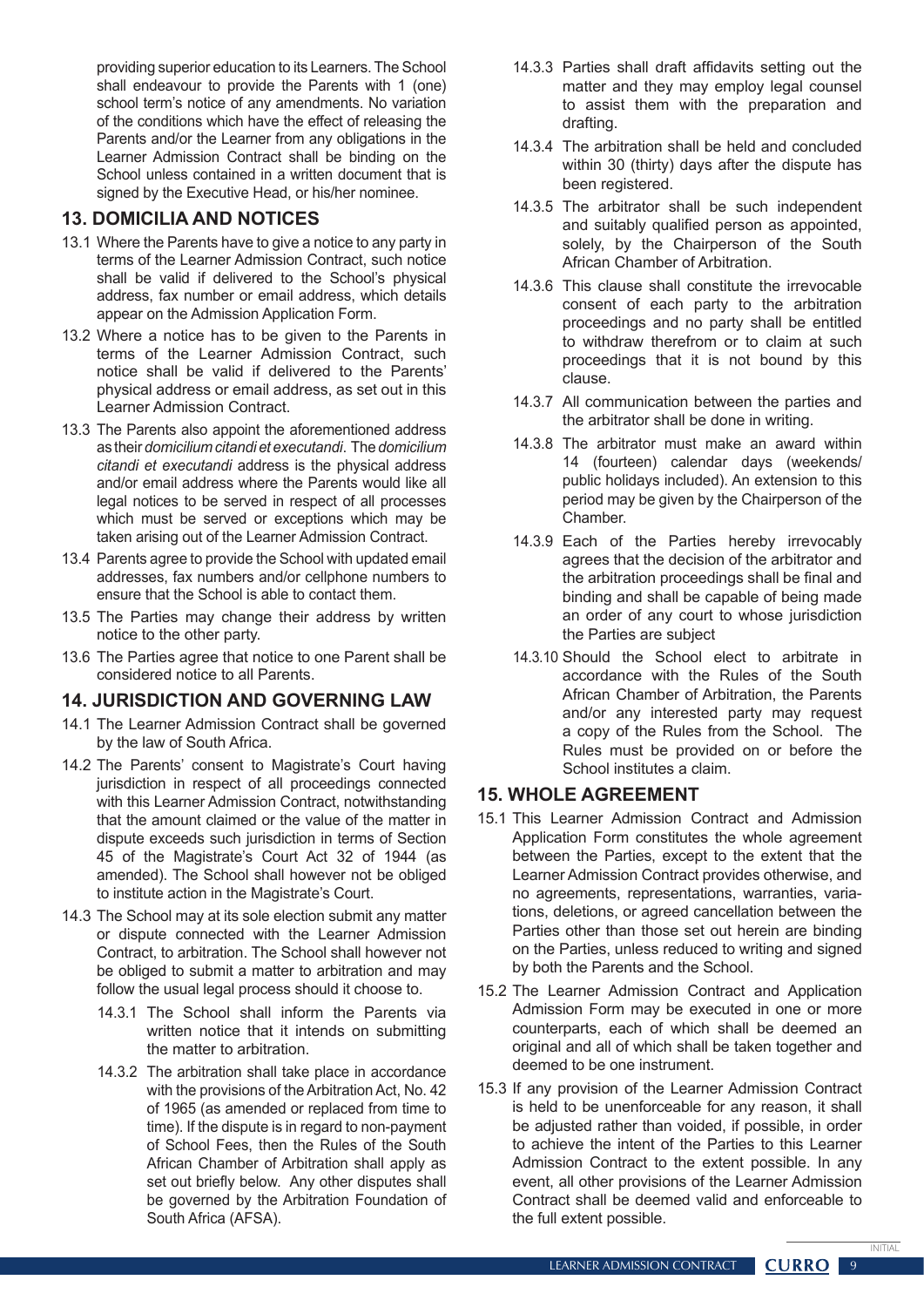providing superior education to its Learners. The School shall endeavour to provide the Parents with 1 (one) school term's notice of any amendments. No variation of the conditions which have the effect of releasing the Parents and/or the Learner from any obligations in the Learner Admission Contract shall be binding on the School unless contained in a written document that is signed by the Executive Head, or his/her nominee.

# **13. DOMICILIA AND NOTICES**

- 13.1 Where the Parents have to give a notice to any party in terms of the Learner Admission Contract, such notice shall be valid if delivered to the School's physical address, fax number or email address, which details appear on the Admission Application Form.
- 13.2 Where a notice has to be given to the Parents in terms of the Learner Admission Contract, such notice shall be valid if delivered to the Parents' physical address or email address, as set out in this Learner Admission Contract.
- 13.3 The Parents also appoint the aforementioned address as their *domicilium citandi et executandi*. The *domicilium citandi et executandi* address is the physical address and/or email address where the Parents would like all legal notices to be served in respect of all processes which must be served or exceptions which may be taken arising out of the Learner Admission Contract.
- 13.4 Parents agree to provide the School with updated email addresses, fax numbers and/or cellphone numbers to ensure that the School is able to contact them.
- 13.5 The Parties may change their address by written notice to the other party.
- 13.6 The Parties agree that notice to one Parent shall be considered notice to all Parents.

## **14. JURISDICTION AND GOVERNING LAW**

- 14.1 The Learner Admission Contract shall be governed by the law of South Africa.
- 14.2 The Parents' consent to Magistrate's Court having jurisdiction in respect of all proceedings connected with this Learner Admission Contract, notwithstanding that the amount claimed or the value of the matter in dispute exceeds such jurisdiction in terms of Section 45 of the Magistrate's Court Act 32 of 1944 (as amended). The School shall however not be obliged to institute action in the Magistrate's Court.
- 14.3 The School may at its sole election submit any matter or dispute connected with the Learner Admission Contract, to arbitration. The School shall however not be obliged to submit a matter to arbitration and may follow the usual legal process should it choose to.
	- 14.3.1 The School shall inform the Parents via written notice that it intends on submitting the matter to arbitration.
	- 14.3.2 The arbitration shall take place in accordance with the provisions of the Arbitration Act, No. 42 of 1965 (as amended or replaced from time to time). If the dispute is in regard to non-payment of School Fees, then the Rules of the South African Chamber of Arbitration shall apply as set out briefly below. Any other disputes shall be governed by the Arbitration Foundation of South Africa (AFSA).
- 14.3.3 Parties shall draft affidavits setting out the matter and they may employ legal counsel to assist them with the preparation and drafting.
- 14.3.4 The arbitration shall be held and concluded within 30 (thirty) days after the dispute has been registered.
- 14.3.5 The arbitrator shall be such independent and suitably qualified person as appointed, solely, by the Chairperson of the South African Chamber of Arbitration.
- 14.3.6 This clause shall constitute the irrevocable consent of each party to the arbitration proceedings and no party shall be entitled to withdraw therefrom or to claim at such proceedings that it is not bound by this clause.
- 14.3.7 All communication between the parties and the arbitrator shall be done in writing.
- 14.3.8 The arbitrator must make an award within 14 (fourteen) calendar days (weekends/ public holidays included). An extension to this period may be given by the Chairperson of the Chamber.
- 14.3.9 Each of the Parties hereby irrevocably agrees that the decision of the arbitrator and the arbitration proceedings shall be final and binding and shall be capable of being made an order of any court to whose jurisdiction the Parties are subject
- 14.3.10 Should the School elect to arbitrate in accordance with the Rules of the South African Chamber of Arbitration, the Parents and/or any interested party may request a copy of the Rules from the School. The Rules must be provided on or before the School institutes a claim.

# **15. WHOLE AGREEMENT**

- 15.1 This Learner Admission Contract and Admission Application Form constitutes the whole agreement between the Parties, except to the extent that the Learner Admission Contract provides otherwise, and no agreements, representations, warranties, variations, deletions, or agreed cancellation between the Parties other than those set out herein are binding on the Parties, unless reduced to writing and signed by both the Parents and the School.
- 15.2 The Learner Admission Contract and Application Admission Form may be executed in one or more counterparts, each of which shall be deemed an original and all of which shall be taken together and deemed to be one instrument.
- 15.3 If any provision of the Learner Admission Contract is held to be unenforceable for any reason, it shall be adjusted rather than voided, if possible, in order to achieve the intent of the Parties to this Learner Admission Contract to the extent possible. In any event, all other provisions of the Learner Admission Contract shall be deemed valid and enforceable to the full extent possible.